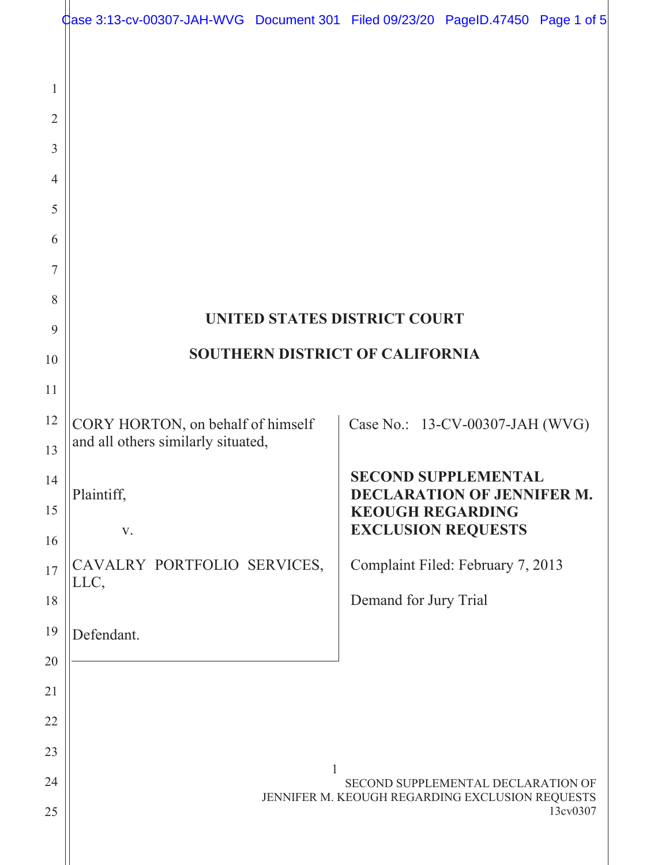|                     | Case 3:13-cv-00307-JAH-WVG Document 301 Filed 09/23/20 PageID.47450 Page 1 of 5 |                                                                                       |                                                                                                                         |                                   |          |  |
|---------------------|---------------------------------------------------------------------------------|---------------------------------------------------------------------------------------|-------------------------------------------------------------------------------------------------------------------------|-----------------------------------|----------|--|
| 1<br>$\overline{2}$ |                                                                                 |                                                                                       |                                                                                                                         |                                   |          |  |
| 3                   |                                                                                 |                                                                                       |                                                                                                                         |                                   |          |  |
| 4                   |                                                                                 |                                                                                       |                                                                                                                         |                                   |          |  |
| 5                   |                                                                                 |                                                                                       |                                                                                                                         |                                   |          |  |
| 6                   |                                                                                 |                                                                                       |                                                                                                                         |                                   |          |  |
| 7                   |                                                                                 |                                                                                       |                                                                                                                         |                                   |          |  |
| 8                   |                                                                                 |                                                                                       |                                                                                                                         |                                   |          |  |
| 9                   | UNITED STATES DISTRICT COURT                                                    |                                                                                       |                                                                                                                         |                                   |          |  |
| 10                  | <b>SOUTHERN DISTRICT OF CALIFORNIA</b>                                          |                                                                                       |                                                                                                                         |                                   |          |  |
| 11                  |                                                                                 |                                                                                       |                                                                                                                         |                                   |          |  |
| 12                  | CORY HORTON, on behalf of himself                                               |                                                                                       |                                                                                                                         | Case No.: 13-CV-00307-JAH (WVG)   |          |  |
| 13                  | and all others similarly situated,                                              |                                                                                       |                                                                                                                         |                                   |          |  |
| 14                  | Plaintiff,<br>V.                                                                |                                                                                       | <b>SECOND SUPPLEMENTAL</b><br><b>DECLARATION OF JENNIFER M.</b><br><b>KEOUGH REGARDING</b><br><b>EXCLUSION REQUESTS</b> |                                   |          |  |
| 15                  |                                                                                 |                                                                                       |                                                                                                                         |                                   |          |  |
| 16                  |                                                                                 |                                                                                       |                                                                                                                         |                                   |          |  |
| 17                  | CAVALRY PORTFOLIO SERVICES,<br>LLC,                                             |                                                                                       |                                                                                                                         | Complaint Filed: February 7, 2013 |          |  |
| 18                  |                                                                                 |                                                                                       | Demand for Jury Trial                                                                                                   |                                   |          |  |
| 19                  | Defendant.                                                                      |                                                                                       |                                                                                                                         |                                   |          |  |
| 20                  |                                                                                 |                                                                                       |                                                                                                                         |                                   |          |  |
| 21                  |                                                                                 |                                                                                       |                                                                                                                         |                                   |          |  |
| 22                  |                                                                                 |                                                                                       |                                                                                                                         |                                   |          |  |
| 23                  |                                                                                 | 1                                                                                     |                                                                                                                         |                                   |          |  |
| 24                  |                                                                                 | SECOND SUPPLEMENTAL DECLARATION OF<br>JENNIFER M. KEOUGH REGARDING EXCLUSION REQUESTS |                                                                                                                         |                                   |          |  |
| 25                  |                                                                                 |                                                                                       |                                                                                                                         |                                   | 13cv0307 |  |
|                     |                                                                                 |                                                                                       |                                                                                                                         |                                   |          |  |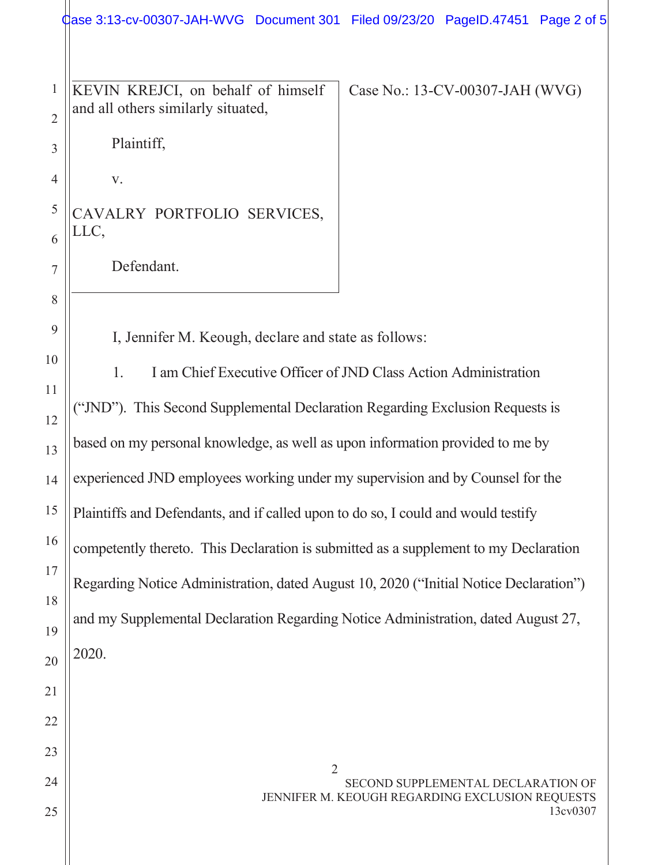dase 3:13-cv-00307-JAH-WVG Document 301 Filed 09/23/20 PageID.47451 Page 2 of 5

KEVIN KREJCI, on behalf of himself and all others similarly situated,

Case No.: 13-CV-00307-JAH (WVG)

Plaintiff,

 $V_{\bullet}$ 

 $\mathbf{1}$ 

 $\overline{2}$ 

 $\overline{3}$ 

 $\overline{4}$ 

 $\mathfrak s$ 

6

 $\tau$ 

8

9

10

11

12

13

14

15

16

 $17$ 

18

19

20

21

22

23

24

CAVALRY PORTFOLIO SERVICES, LLC,

Defendant.

I, Jennifer M. Keough, declare and state as follows:

1. I am Chief Executive Officer of JND Class Action Administration ("JND"). This Second Supplemental Declaration Regarding Exclusion Requests is based on my personal knowledge, as well as upon information provided to me by experienced JND employees working under my supervision and by Counsel for the Plaintiffs and Defendants, and if called upon to do so, I could and would testify competently thereto. This Declaration is submitted as a supplement to my Declaration Regarding Notice Administration, dated August 10, 2020 ("Initial Notice Declaration") and my Supplemental Declaration Regarding Notice Administration, dated August 27, 2020.

 $\overline{2}$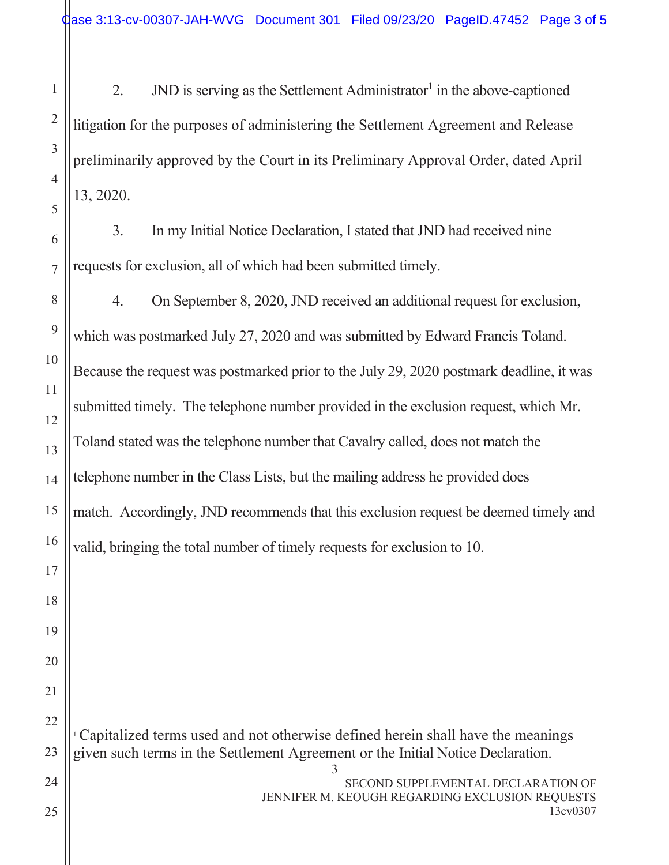JND is serving as the Settlement Administrator<sup>1</sup> in the above-captioned  $2.$ litigation for the purposes of administering the Settlement Agreement and Release preliminarily approved by the Court in its Preliminary Approval Order, dated April 13, 2020.

In my Initial Notice Declaration, I stated that JND had received nine  $3.$ requests for exclusion, all of which had been submitted timely.

8  $\overline{4}$ . On September 8, 2020, JND received an additional request for exclusion, 9 which was postmarked July 27, 2020 and was submitted by Edward Francis Toland. Because the request was postmarked prior to the July 29, 2020 postmark deadline, it was submitted timely. The telephone number provided in the exclusion request, which Mr. Toland stated was the telephone number that Cavalry called, does not match the telephone number in the Class Lists, but the mailing address he provided does match. Accordingly, JND recommends that this exclusion request be deemed timely and valid, bringing the total number of timely requests for exclusion to 10.

<sup>1</sup> Capitalized terms used and not otherwise defined herein shall have the meanings given such terms in the Settlement Agreement or the Initial Notice Declaration.

3

 $\mathbf{1}$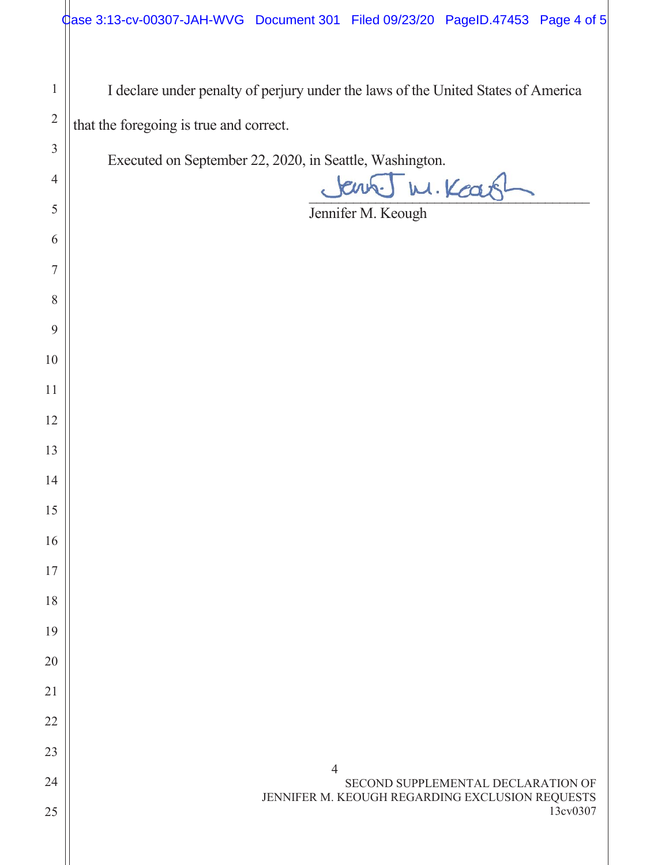I declare under penalty of perjury under the laws of the United States of America that the foregoing is true and correct.

Executed on September 22, 2020, in Seattle, Washington.

W. Kears

Jennifer M. Keough